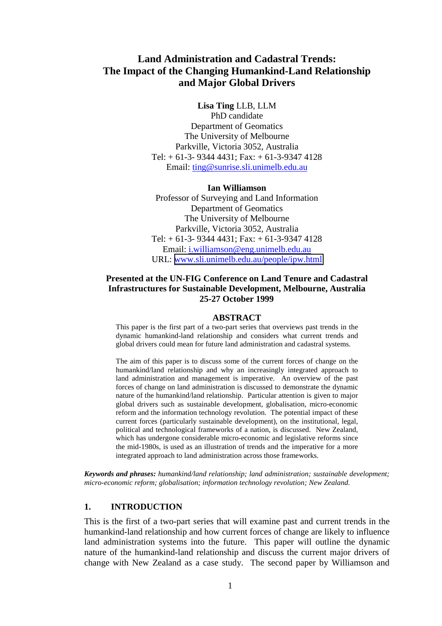# **Land Administration and Cadastral Trends: The Impact of the Changing Humankind-Land Relationship and Major Global Drivers**

**Lisa Ting** LLB, LLM

PhD candidate Department of Geomatics The University of Melbourne Parkville, Victoria 3052, Australia Tel:  $+ 61-3-93444431$ ; Fax:  $+ 61-3-93474128$ Email: ting@sunrise.sli.unimelb.edu.au

#### **Ian Williamson**

Professor of Surveying and Land Information Department of Geomatics The University of Melbourne Parkville, Victoria 3052, Australia Tel:  $+ 61-3-93444431$ ; Fax:  $+ 61-3-93474128$ Email: i.williamson@eng.unimelb.edu.au URL: [www.sli.unimelb.edu.au/people/ipw.html](http://www.sli.unimelb.edu.au/people/ipw.html)

### **Presented at the UN-FIG Conference on Land Tenure and Cadastral Infrastructures for Sustainable Development, Melbourne, Australia 25-27 October 1999**

#### **ABSTRACT**

This paper is the first part of a two-part series that overviews past trends in the dynamic humankind-land relationship and considers what current trends and global drivers could mean for future land administration and cadastral systems.

The aim of this paper is to discuss some of the current forces of change on the humankind/land relationship and why an increasingly integrated approach to land administration and management is imperative. An overview of the past forces of change on land administration is discussed to demonstrate the dynamic nature of the humankind/land relationship. Particular attention is given to major global drivers such as sustainable development, globalisation, micro-economic reform and the information technology revolution. The potential impact of these current forces (particularly sustainable development), on the institutional, legal, political and technological frameworks of a nation, is discussed. New Zealand, which has undergone considerable micro-economic and legislative reforms since the mid-1980s, is used as an illustration of trends and the imperative for a more integrated approach to land administration across those frameworks.

*Keywords and phrases: humankind/land relationship; land administration; sustainable development; micro-economic reform; globalisation; information technology revolution; New Zealand.*

### **1. INTRODUCTION**

This is the first of a two-part series that will examine past and current trends in the humankind-land relationship and how current forces of change are likely to influence land administration systems into the future. This paper will outline the dynamic nature of the humankind-land relationship and discuss the current major drivers of change with New Zealand as a case study. The second paper by Williamson and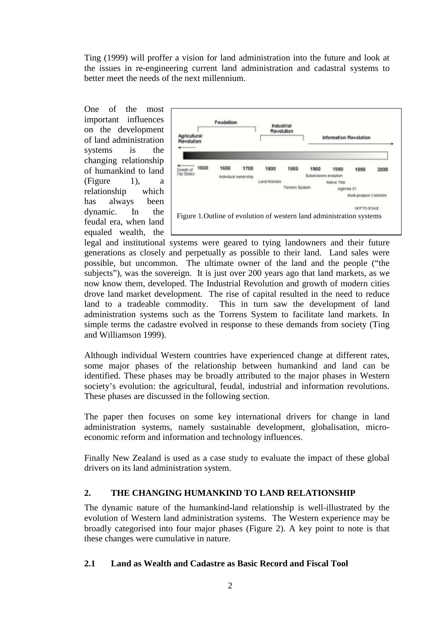Ting (1999) will proffer a vision for land administration into the future and look at the issues in re-engineering current land administration and cadastral systems to better meet the needs of the next millennium.

One of the most important influences on the development of land administration systems is the changing relationship of humankind to land  $(Figure \t1).$ relationship which has always been dynamic. In the feudal era, when land equaled wealth, the



legal and institutional systems were geared to tying landowners and their future generations as closely and perpetually as possible to their land. Land sales were possible, but uncommon. The ultimate owner of the land and the people ("the subjects"), was the sovereign. It is just over 200 years ago that land markets, as we now know them, developed. The Industrial Revolution and growth of modern cities drove land market development. The rise of capital resulted in the need to reduce land to a tradeable commodity. This in turn saw the development of land administration systems such as the Torrens System to facilitate land markets. In simple terms the cadastre evolved in response to these demands from society (Ting and Williamson 1999).

Although individual Western countries have experienced change at different rates, some major phases of the relationship between humankind and land can be identified. These phases may be broadly attributed to the major phases in Western society's evolution: the agricultural, feudal, industrial and information revolutions. These phases are discussed in the following section.

The paper then focuses on some key international drivers for change in land administration systems, namely sustainable development, globalisation, microeconomic reform and information and technology influences.

Finally New Zealand is used as a case study to evaluate the impact of these global drivers on its land administration system.

# **2. THE CHANGING HUMANKIND TO LAND RELATIONSHIP**

The dynamic nature of the humankind-land relationship is well-illustrated by the evolution of Western land administration systems. The Western experience may be broadly categorised into four major phases (Figure 2). A key point to note is that these changes were cumulative in nature.

# **2.1 Land as Wealth and Cadastre as Basic Record and Fiscal Tool**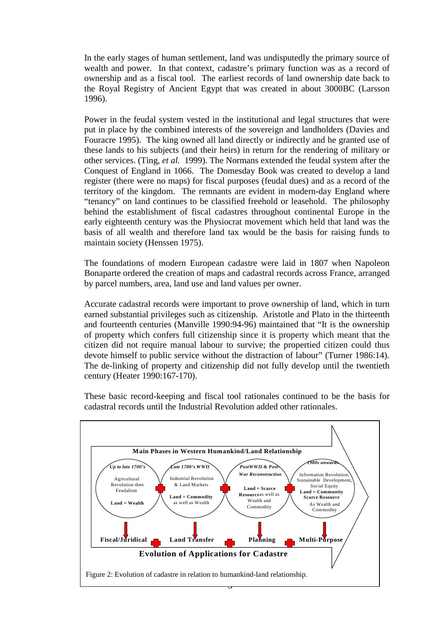In the early stages of human settlement, land was undisputedly the primary source of wealth and power. In that context, cadastre's primary function was as a record of ownership and as a fiscal tool. The earliest records of land ownership date back to the Royal Registry of Ancient Egypt that was created in about 3000BC (Larsson 1996).

Power in the feudal system vested in the institutional and legal structures that were put in place by the combined interests of the sovereign and landholders (Davies and Fouracre 1995). The king owned all land directly or indirectly and he granted use of these lands to his subjects (and their heirs) in return for the rendering of military or other services. (Ting*, et al.* 1999). The Normans extended the feudal system after the Conquest of England in 1066. The Domesday Book was created to develop a land register (there were no maps) for fiscal purposes (feudal dues) and as a record of the territory of the kingdom. The remnants are evident in modern-day England where "tenancy" on land continues to be classified freehold or leasehold. The philosophy behind the establishment of fiscal cadastres throughout continental Europe in the early eighteenth century was the Physiocrat movement which held that land was the basis of all wealth and therefore land tax would be the basis for raising funds to maintain society (Henssen 1975).

The foundations of modern European cadastre were laid in 1807 when Napoleon Bonaparte ordered the creation of maps and cadastral records across France, arranged by parcel numbers, area, land use and land values per owner.

Accurate cadastral records were important to prove ownership of land, which in turn earned substantial privileges such as citizenship. Aristotle and Plato in the thirteenth and fourteenth centuries (Manville 1990:94-96) maintained that "It is the ownership of property which confers full citizenship since it is property which meant that the citizen did not require manual labour to survive; the propertied citizen could thus devote himself to public service without the distraction of labour" (Turner 1986:14). The de-linking of property and citizenship did not fully develop until the twentieth century (Heater 1990:167-170).

These basic record-keeping and fiscal tool rationales continued to be the basis for cadastral records until the Industrial Revolution added other rationales.

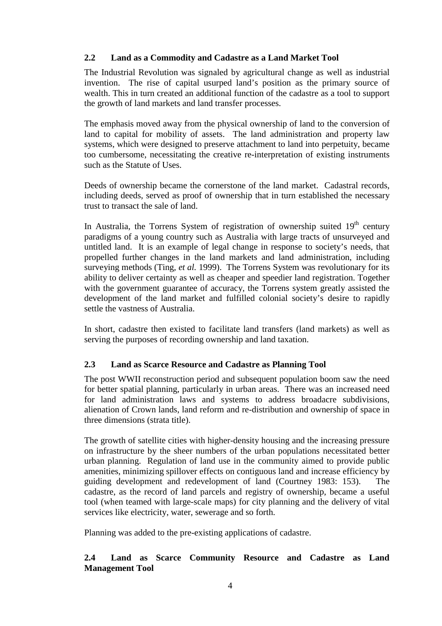# **2.2 Land as a Commodity and Cadastre as a Land Market Tool**

The Industrial Revolution was signaled by agricultural change as well as industrial invention. The rise of capital usurped land's position as the primary source of wealth. This in turn created an additional function of the cadastre as a tool to support the growth of land markets and land transfer processes.

The emphasis moved away from the physical ownership of land to the conversion of land to capital for mobility of assets. The land administration and property law systems, which were designed to preserve attachment to land into perpetuity, became too cumbersome, necessitating the creative re-interpretation of existing instruments such as the Statute of Uses.

Deeds of ownership became the cornerstone of the land market. Cadastral records, including deeds, served as proof of ownership that in turn established the necessary trust to transact the sale of land.

In Australia, the Torrens System of registration of ownership suited  $19<sup>th</sup>$  century paradigms of a young country such as Australia with large tracts of unsurveyed and untitled land. It is an example of legal change in response to society's needs, that propelled further changes in the land markets and land administration, including surveying methods (Ting*, et al.* 1999). The Torrens System was revolutionary for its ability to deliver certainty as well as cheaper and speedier land registration. Together with the government guarantee of accuracy, the Torrens system greatly assisted the development of the land market and fulfilled colonial society's desire to rapidly settle the vastness of Australia.

In short, cadastre then existed to facilitate land transfers (land markets) as well as serving the purposes of recording ownership and land taxation.

# **2.3 Land as Scarce Resource and Cadastre as Planning Tool**

The post WWII reconstruction period and subsequent population boom saw the need for better spatial planning, particularly in urban areas. There was an increased need for land administration laws and systems to address broadacre subdivisions, alienation of Crown lands, land reform and re-distribution and ownership of space in three dimensions (strata title).

The growth of satellite cities with higher-density housing and the increasing pressure on infrastructure by the sheer numbers of the urban populations necessitated better urban planning. Regulation of land use in the community aimed to provide public amenities, minimizing spillover effects on contiguous land and increase efficiency by guiding development and redevelopment of land (Courtney 1983: 153). The cadastre, as the record of land parcels and registry of ownership, became a useful tool (when teamed with large-scale maps) for city planning and the delivery of vital services like electricity, water, sewerage and so forth.

Planning was added to the pre-existing applications of cadastre.

# **2.4 Land as Scarce Community Resource and Cadastre as Land Management Tool**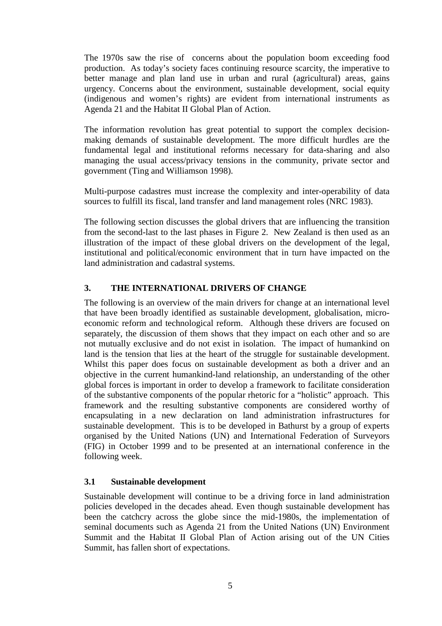The 1970s saw the rise of concerns about the population boom exceeding food production. As today's society faces continuing resource scarcity, the imperative to better manage and plan land use in urban and rural (agricultural) areas, gains urgency. Concerns about the environment, sustainable development, social equity (indigenous and women's rights) are evident from international instruments as Agenda 21 and the Habitat II Global Plan of Action.

The information revolution has great potential to support the complex decisionmaking demands of sustainable development. The more difficult hurdles are the fundamental legal and institutional reforms necessary for data-sharing and also managing the usual access/privacy tensions in the community, private sector and government (Ting and Williamson 1998).

Multi-purpose cadastres must increase the complexity and inter-operability of data sources to fulfill its fiscal, land transfer and land management roles (NRC 1983).

The following section discusses the global drivers that are influencing the transition from the second-last to the last phases in Figure 2. New Zealand is then used as an illustration of the impact of these global drivers on the development of the legal, institutional and political/economic environment that in turn have impacted on the land administration and cadastral systems.

# **3. THE INTERNATIONAL DRIVERS OF CHANGE**

The following is an overview of the main drivers for change at an international level that have been broadly identified as sustainable development, globalisation, microeconomic reform and technological reform. Although these drivers are focused on separately, the discussion of them shows that they impact on each other and so are not mutually exclusive and do not exist in isolation. The impact of humankind on land is the tension that lies at the heart of the struggle for sustainable development. Whilst this paper does focus on sustainable development as both a driver and an objective in the current humankind-land relationship, an understanding of the other global forces is important in order to develop a framework to facilitate consideration of the substantive components of the popular rhetoric for a "holistic" approach. This framework and the resulting substantive components are considered worthy of encapsulating in a new declaration on land administration infrastructures for sustainable development. This is to be developed in Bathurst by a group of experts organised by the United Nations (UN) and International Federation of Surveyors (FIG) in October 1999 and to be presented at an international conference in the following week.

# **3.1 Sustainable development**

Sustainable development will continue to be a driving force in land administration policies developed in the decades ahead. Even though sustainable development has been the catchcry across the globe since the mid-1980s, the implementation of seminal documents such as Agenda 21 from the United Nations (UN) Environment Summit and the Habitat II Global Plan of Action arising out of the UN Cities Summit, has fallen short of expectations.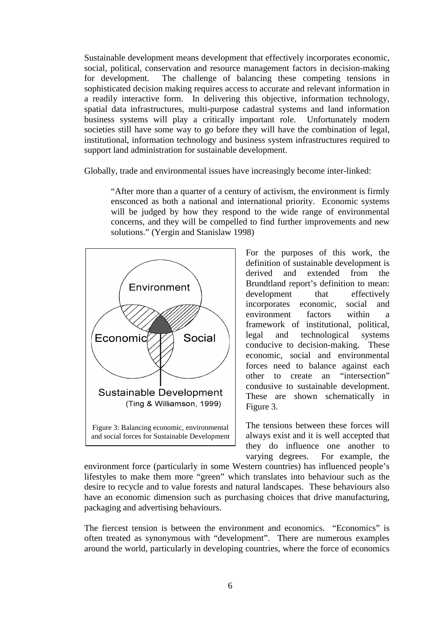Sustainable development means development that effectively incorporates economic, social, political, conservation and resource management factors in decision-making for development. The challenge of balancing these competing tensions in sophisticated decision making requires access to accurate and relevant information in a readily interactive form. In delivering this objective, information technology, spatial data infrastructures, multi-purpose cadastral systems and land information business systems will play a critically important role. Unfortunately modern societies still have some way to go before they will have the combination of legal, institutional, information technology and business system infrastructures required to support land administration for sustainable development.

Globally, trade and environmental issues have increasingly become inter-linked:

"After more than a quarter of a century of activism, the environment is firmly ensconced as both a national and international priority. Economic systems will be judged by how they respond to the wide range of environmental concerns, and they will be compelled to find further improvements and new solutions." (Yergin and Stanislaw 1998)



For the purposes of this work, the definition of sustainable development is derived and extended from the Brundtland report's definition to mean: development that effectively incorporates economic, social and environment factors within a framework of institutional, political, legal and technological systems conducive to decision-making. These economic, social and environmental forces need to balance against each other to create an "intersection" condusive to sustainable development. These are shown schematically in Figure 3.

The tensions between these forces will always exist and it is well accepted that they do influence one another to varying degrees. For example, the

environment force (particularly in some Western countries) has influenced people's lifestyles to make them more "green" which translates into behaviour such as the desire to recycle and to value forests and natural landscapes. These behaviours also have an economic dimension such as purchasing choices that drive manufacturing, packaging and advertising behaviours.

The fiercest tension is between the environment and economics. "Economics" is often treated as synonymous with "development". There are numerous examples around the world, particularly in developing countries, where the force of economics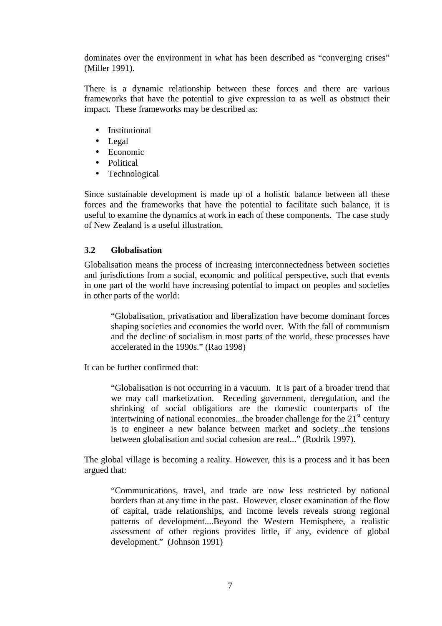dominates over the environment in what has been described as "converging crises" (Miller 1991).

There is a dynamic relationship between these forces and there are various frameworks that have the potential to give expression to as well as obstruct their impact. These frameworks may be described as:

- Institutional
- Legal
- Economic
- Political
- Technological

Since sustainable development is made up of a holistic balance between all these forces and the frameworks that have the potential to facilitate such balance, it is useful to examine the dynamics at work in each of these components. The case study of New Zealand is a useful illustration.

# **3.2 Globalisation**

Globalisation means the process of increasing interconnectedness between societies and jurisdictions from a social, economic and political perspective, such that events in one part of the world have increasing potential to impact on peoples and societies in other parts of the world:

"Globalisation, privatisation and liberalization have become dominant forces shaping societies and economies the world over. With the fall of communism and the decline of socialism in most parts of the world, these processes have accelerated in the 1990s." (Rao 1998)

It can be further confirmed that:

"Globalisation is not occurring in a vacuum. It is part of a broader trend that we may call marketization. Receding government, deregulation, and the shrinking of social obligations are the domestic counterparts of the intertwining of national economies...the broader challenge for the  $21<sup>st</sup>$  century is to engineer a new balance between market and society...the tensions between globalisation and social cohesion are real..." (Rodrik 1997).

The global village is becoming a reality. However, this is a process and it has been argued that:

"Communications, travel, and trade are now less restricted by national borders than at any time in the past. However, closer examination of the flow of capital, trade relationships, and income levels reveals strong regional patterns of development....Beyond the Western Hemisphere, a realistic assessment of other regions provides little, if any, evidence of global development." (Johnson 1991)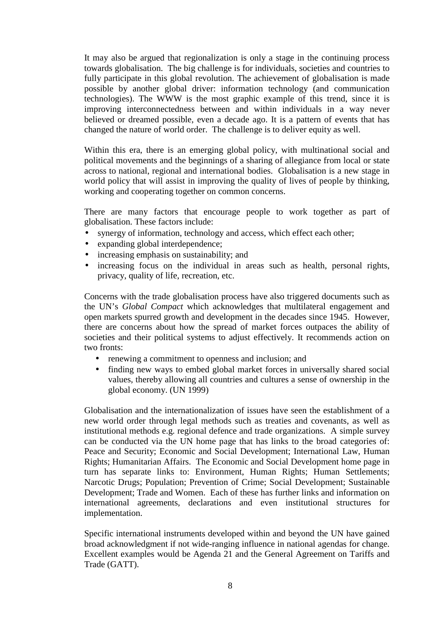It may also be argued that regionalization is only a stage in the continuing process towards globalisation. The big challenge is for individuals, societies and countries to fully participate in this global revolution. The achievement of globalisation is made possible by another global driver: information technology (and communication technologies). The WWW is the most graphic example of this trend, since it is improving interconnectedness between and within individuals in a way never believed or dreamed possible, even a decade ago. It is a pattern of events that has changed the nature of world order. The challenge is to deliver equity as well.

Within this era, there is an emerging global policy, with multinational social and political movements and the beginnings of a sharing of allegiance from local or state across to national, regional and international bodies. Globalisation is a new stage in world policy that will assist in improving the quality of lives of people by thinking, working and cooperating together on common concerns.

There are many factors that encourage people to work together as part of globalisation. These factors include:

- synergy of information, technology and access, which effect each other;
- expanding global interdependence;
- increasing emphasis on sustainability; and
- increasing focus on the individual in areas such as health, personal rights, privacy, quality of life, recreation, etc.

Concerns with the trade globalisation process have also triggered documents such as the UN's *Global Compact* which acknowledges that multilateral engagement and open markets spurred growth and development in the decades since 1945. However, there are concerns about how the spread of market forces outpaces the ability of societies and their political systems to adjust effectively. It recommends action on two fronts:

- renewing a commitment to openness and inclusion; and
- finding new ways to embed global market forces in universally shared social values, thereby allowing all countries and cultures a sense of ownership in the global economy. (UN 1999)

Globalisation and the internationalization of issues have seen the establishment of a new world order through legal methods such as treaties and covenants, as well as institutional methods e.g. regional defence and trade organizations. A simple survey can be conducted via the UN home page that has links to the broad categories of: Peace and Security; Economic and Social Development; International Law, Human Rights; Humanitarian Affairs. The Economic and Social Development home page in turn has separate links to: Environment, Human Rights; Human Settlements; Narcotic Drugs; Population; Prevention of Crime; Social Development; Sustainable Development; Trade and Women. Each of these has further links and information on international agreements, declarations and even institutional structures for implementation.

Specific international instruments developed within and beyond the UN have gained broad acknowledgment if not wide-ranging influence in national agendas for change. Excellent examples would be Agenda 21 and the General Agreement on Tariffs and Trade (GATT).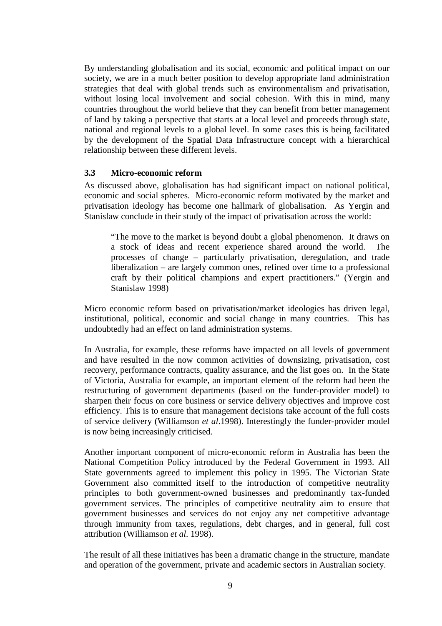By understanding globalisation and its social, economic and political impact on our society, we are in a much better position to develop appropriate land administration strategies that deal with global trends such as environmentalism and privatisation, without losing local involvement and social cohesion. With this in mind, many countries throughout the world believe that they can benefit from better management of land by taking a perspective that starts at a local level and proceeds through state, national and regional levels to a global level. In some cases this is being facilitated by the development of the Spatial Data Infrastructure concept with a hierarchical relationship between these different levels.

#### **3.3 Micro-economic reform**

As discussed above, globalisation has had significant impact on national political, economic and social spheres. Micro-economic reform motivated by the market and privatisation ideology has become one hallmark of globalisation. As Yergin and Stanislaw conclude in their study of the impact of privatisation across the world:

"The move to the market is beyond doubt a global phenomenon. It draws on a stock of ideas and recent experience shared around the world. The processes of change – particularly privatisation, deregulation, and trade liberalization – are largely common ones, refined over time to a professional craft by their political champions and expert practitioners." (Yergin and Stanislaw 1998)

Micro economic reform based on privatisation/market ideologies has driven legal, institutional, political, economic and social change in many countries. This has undoubtedly had an effect on land administration systems.

In Australia, for example, these reforms have impacted on all levels of government and have resulted in the now common activities of downsizing, privatisation, cost recovery, performance contracts, quality assurance, and the list goes on. In the State of Victoria, Australia for example, an important element of the reform had been the restructuring of government departments (based on the funder-provider model) to sharpen their focus on core business or service delivery objectives and improve cost efficiency. This is to ensure that management decisions take account of the full costs of service delivery (Williamson *et al*.1998). Interestingly the funder-provider model is now being increasingly criticised.

Another important component of micro-economic reform in Australia has been the National Competition Policy introduced by the Federal Government in 1993. All State governments agreed to implement this policy in 1995. The Victorian State Government also committed itself to the introduction of competitive neutrality principles to both government-owned businesses and predominantly tax-funded government services. The principles of competitive neutrality aim to ensure that government businesses and services do not enjoy any net competitive advantage through immunity from taxes, regulations, debt charges, and in general, full cost attribution (Williamson *et al*. 1998).

The result of all these initiatives has been a dramatic change in the structure, mandate and operation of the government, private and academic sectors in Australian society.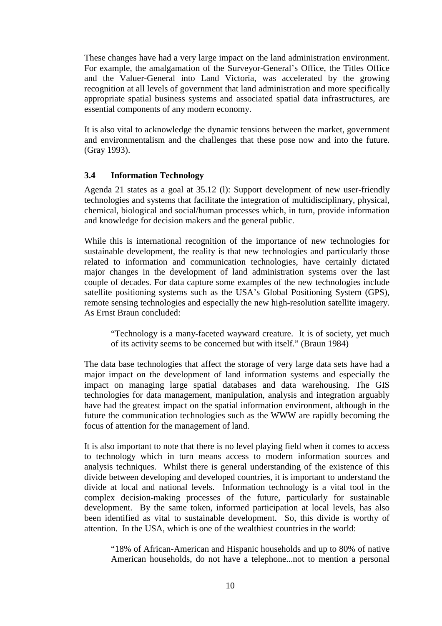These changes have had a very large impact on the land administration environment. For example, the amalgamation of the Surveyor-General's Office, the Titles Office and the Valuer-General into Land Victoria, was accelerated by the growing recognition at all levels of government that land administration and more specifically appropriate spatial business systems and associated spatial data infrastructures, are essential components of any modern economy.

It is also vital to acknowledge the dynamic tensions between the market, government and environmentalism and the challenges that these pose now and into the future. (Gray 1993).

### **3.4 Information Technology**

Agenda 21 states as a goal at 35.12 (l): Support development of new user-friendly technologies and systems that facilitate the integration of multidisciplinary, physical, chemical, biological and social/human processes which, in turn, provide information and knowledge for decision makers and the general public.

While this is international recognition of the importance of new technologies for sustainable development, the reality is that new technologies and particularly those related to information and communication technologies, have certainly dictated major changes in the development of land administration systems over the last couple of decades. For data capture some examples of the new technologies include satellite positioning systems such as the USA's Global Positioning System (GPS), remote sensing technologies and especially the new high-resolution satellite imagery. As Ernst Braun concluded:

"Technology is a many-faceted wayward creature. It is of society, yet much of its activity seems to be concerned but with itself." (Braun 1984)

The data base technologies that affect the storage of very large data sets have had a major impact on the development of land information systems and especially the impact on managing large spatial databases and data warehousing. The GIS technologies for data management, manipulation, analysis and integration arguably have had the greatest impact on the spatial information environment, although in the future the communication technologies such as the WWW are rapidly becoming the focus of attention for the management of land.

It is also important to note that there is no level playing field when it comes to access to technology which in turn means access to modern information sources and analysis techniques. Whilst there is general understanding of the existence of this divide between developing and developed countries, it is important to understand the divide at local and national levels. Information technology is a vital tool in the complex decision-making processes of the future, particularly for sustainable development. By the same token, informed participation at local levels, has also been identified as vital to sustainable development. So, this divide is worthy of attention. In the USA, which is one of the wealthiest countries in the world:

"18% of African-American and Hispanic households and up to 80% of native American households, do not have a telephone...not to mention a personal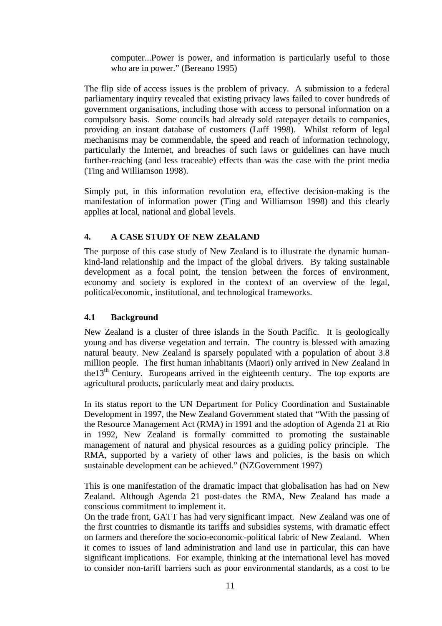computer...Power is power, and information is particularly useful to those who are in power." (Bereano 1995)

The flip side of access issues is the problem of privacy. A submission to a federal parliamentary inquiry revealed that existing privacy laws failed to cover hundreds of government organisations, including those with access to personal information on a compulsory basis. Some councils had already sold ratepayer details to companies, providing an instant database of customers (Luff 1998). Whilst reform of legal mechanisms may be commendable, the speed and reach of information technology, particularly the Internet, and breaches of such laws or guidelines can have much further-reaching (and less traceable) effects than was the case with the print media (Ting and Williamson 1998).

Simply put, in this information revolution era, effective decision-making is the manifestation of information power (Ting and Williamson 1998) and this clearly applies at local, national and global levels.

# **4. A CASE STUDY OF NEW ZEALAND**

The purpose of this case study of New Zealand is to illustrate the dynamic humankind-land relationship and the impact of the global drivers. By taking sustainable development as a focal point, the tension between the forces of environment, economy and society is explored in the context of an overview of the legal, political/economic, institutional, and technological frameworks.

# **4.1 Background**

New Zealand is a cluster of three islands in the South Pacific. It is geologically young and has diverse vegetation and terrain. The country is blessed with amazing natural beauty. New Zealand is sparsely populated with a population of about 3.8 million people. The first human inhabitants (Maori) only arrived in New Zealand in the  $13<sup>th</sup>$  Century. Europeans arrived in the eighteenth century. The top exports are agricultural products, particularly meat and dairy products.

In its status report to the UN Department for Policy Coordination and Sustainable Development in 1997, the New Zealand Government stated that "With the passing of the Resource Management Act (RMA) in 1991 and the adoption of Agenda 21 at Rio in 1992, New Zealand is formally committed to promoting the sustainable management of natural and physical resources as a guiding policy principle. The RMA, supported by a variety of other laws and policies, is the basis on which sustainable development can be achieved." (NZGovernment 1997)

This is one manifestation of the dramatic impact that globalisation has had on New Zealand. Although Agenda 21 post-dates the RMA, New Zealand has made a conscious commitment to implement it.

On the trade front, GATT has had very significant impact. New Zealand was one of the first countries to dismantle its tariffs and subsidies systems, with dramatic effect on farmers and therefore the socio-economic-political fabric of New Zealand. When it comes to issues of land administration and land use in particular, this can have significant implications. For example, thinking at the international level has moved to consider non-tariff barriers such as poor environmental standards, as a cost to be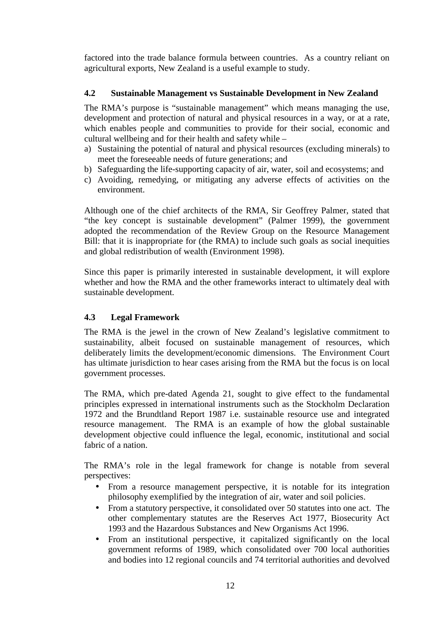factored into the trade balance formula between countries. As a country reliant on agricultural exports, New Zealand is a useful example to study.

# **4.2 Sustainable Management vs Sustainable Development in New Zealand**

The RMA's purpose is "sustainable management" which means managing the use, development and protection of natural and physical resources in a way, or at a rate, which enables people and communities to provide for their social, economic and cultural wellbeing and for their health and safety while –

- a) Sustaining the potential of natural and physical resources (excluding minerals) to meet the foreseeable needs of future generations; and
- b) Safeguarding the life-supporting capacity of air, water, soil and ecosystems; and
- c) Avoiding, remedying, or mitigating any adverse effects of activities on the environment.

Although one of the chief architects of the RMA, Sir Geoffrey Palmer, stated that "the key concept is sustainable development" (Palmer 1999), the government adopted the recommendation of the Review Group on the Resource Management Bill: that it is inappropriate for (the RMA) to include such goals as social inequities and global redistribution of wealth (Environment 1998).

Since this paper is primarily interested in sustainable development, it will explore whether and how the RMA and the other frameworks interact to ultimately deal with sustainable development.

# **4.3 Legal Framework**

The RMA is the jewel in the crown of New Zealand's legislative commitment to sustainability, albeit focused on sustainable management of resources, which deliberately limits the development/economic dimensions. The Environment Court has ultimate jurisdiction to hear cases arising from the RMA but the focus is on local government processes.

The RMA, which pre-dated Agenda 21, sought to give effect to the fundamental principles expressed in international instruments such as the Stockholm Declaration 1972 and the Brundtland Report 1987 i.e. sustainable resource use and integrated resource management. The RMA is an example of how the global sustainable development objective could influence the legal, economic, institutional and social fabric of a nation.

The RMA's role in the legal framework for change is notable from several perspectives:

- From a resource management perspective, it is notable for its integration philosophy exemplified by the integration of air, water and soil policies.
- From a statutory perspective, it consolidated over 50 statutes into one act. The other complementary statutes are the Reserves Act 1977, Biosecurity Act 1993 and the Hazardous Substances and New Organisms Act 1996.
- From an institutional perspective, it capitalized significantly on the local government reforms of 1989, which consolidated over 700 local authorities and bodies into 12 regional councils and 74 territorial authorities and devolved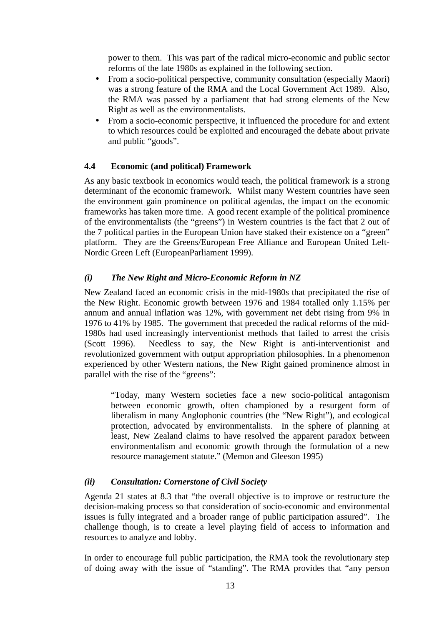power to them. This was part of the radical micro-economic and public sector reforms of the late 1980s as explained in the following section.

- From a socio-political perspective, community consultation (especially Maori) was a strong feature of the RMA and the Local Government Act 1989. Also, the RMA was passed by a parliament that had strong elements of the New Right as well as the environmentalists.
- From a socio-economic perspective, it influenced the procedure for and extent to which resources could be exploited and encouraged the debate about private and public "goods".

### **4.4 Economic (and political) Framework**

As any basic textbook in economics would teach, the political framework is a strong determinant of the economic framework. Whilst many Western countries have seen the environment gain prominence on political agendas, the impact on the economic frameworks has taken more time. A good recent example of the political prominence of the environmentalists (the "greens") in Western countries is the fact that 2 out of the 7 political parties in the European Union have staked their existence on a "green" platform. They are the Greens/European Free Alliance and European United Left-Nordic Green Left (EuropeanParliament 1999).

### *(i) The New Right and Micro-Economic Reform in NZ*

New Zealand faced an economic crisis in the mid-1980s that precipitated the rise of the New Right. Economic growth between 1976 and 1984 totalled only 1.15% per annum and annual inflation was 12%, with government net debt rising from 9% in 1976 to 41% by 1985. The government that preceded the radical reforms of the mid-1980s had used increasingly interventionist methods that failed to arrest the crisis (Scott 1996). Needless to say, the New Right is anti-interventionist and revolutionized government with output appropriation philosophies. In a phenomenon experienced by other Western nations, the New Right gained prominence almost in parallel with the rise of the "greens":

"Today, many Western societies face a new socio-political antagonism between economic growth, often championed by a resurgent form of liberalism in many Anglophonic countries (the "New Right"), and ecological protection, advocated by environmentalists. In the sphere of planning at least, New Zealand claims to have resolved the apparent paradox between environmentalism and economic growth through the formulation of a new resource management statute." (Memon and Gleeson 1995)

### *(ii) Consultation: Cornerstone of Civil Society*

Agenda 21 states at 8.3 that "the overall objective is to improve or restructure the decision-making process so that consideration of socio-economic and environmental issues is fully integrated and a broader range of public participation assured". The challenge though, is to create a level playing field of access to information and resources to analyze and lobby.

In order to encourage full public participation, the RMA took the revolutionary step of doing away with the issue of "standing". The RMA provides that "any person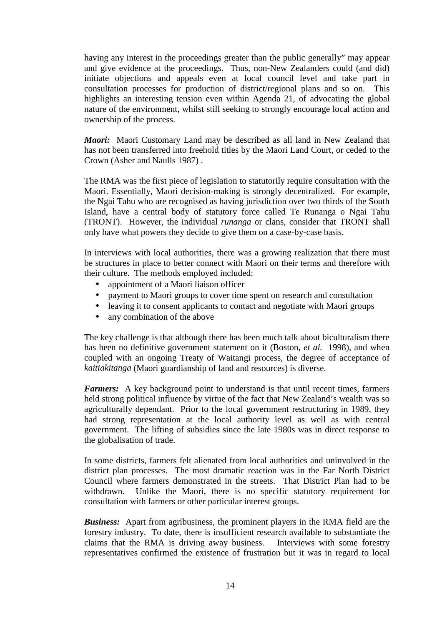having any interest in the proceedings greater than the public generally" may appear and give evidence at the proceedings. Thus, non-New Zealanders could (and did) initiate objections and appeals even at local council level and take part in consultation processes for production of district/regional plans and so on. This highlights an interesting tension even within Agenda 21, of advocating the global nature of the environment, whilst still seeking to strongly encourage local action and ownership of the process.

*Maori:* Maori Customary Land may be described as all land in New Zealand that has not been transferred into freehold titles by the Maori Land Court, or ceded to the Crown (Asher and Naulls 1987) .

The RMA was the first piece of legislation to statutorily require consultation with the Maori. Essentially, Maori decision-making is strongly decentralized. For example, the Ngai Tahu who are recognised as having jurisdiction over two thirds of the South Island, have a central body of statutory force called Te Runanga o Ngai Tahu (TRONT). However, the individual *runanga* or clans, consider that TRONT shall only have what powers they decide to give them on a case-by-case basis.

In interviews with local authorities, there was a growing realization that there must be structures in place to better connect with Maori on their terms and therefore with their culture. The methods employed included:

- appointment of a Maori liaison officer
- payment to Maori groups to cover time spent on research and consultation
- leaving it to consent applicants to contact and negotiate with Maori groups
- any combination of the above

The key challenge is that although there has been much talk about biculturalism there has been no definitive government statement on it (Boston*, et al.* 1998), and when coupled with an ongoing Treaty of Waitangi process, the degree of acceptance of *kaitiakitanga* (Maori guardianship of land and resources) is diverse.

*Farmers:* A key background point to understand is that until recent times, farmers held strong political influence by virtue of the fact that New Zealand's wealth was so agriculturally dependant. Prior to the local government restructuring in 1989, they had strong representation at the local authority level as well as with central government. The lifting of subsidies since the late 1980s was in direct response to the globalisation of trade.

In some districts, farmers felt alienated from local authorities and uninvolved in the district plan processes. The most dramatic reaction was in the Far North District Council where farmers demonstrated in the streets. That District Plan had to be withdrawn. Unlike the Maori, there is no specific statutory requirement for consultation with farmers or other particular interest groups.

*Business:* Apart from agribusiness, the prominent players in the RMA field are the forestry industry. To date, there is insufficient research available to substantiate the claims that the RMA is driving away business. Interviews with some forestry representatives confirmed the existence of frustration but it was in regard to local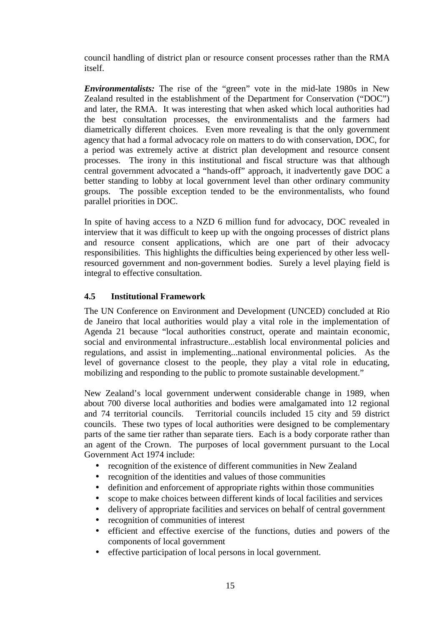council handling of district plan or resource consent processes rather than the RMA itself.

*Environmentalists:* The rise of the "green" vote in the mid-late 1980s in New Zealand resulted in the establishment of the Department for Conservation ("DOC") and later, the RMA. It was interesting that when asked which local authorities had the best consultation processes, the environmentalists and the farmers had diametrically different choices. Even more revealing is that the only government agency that had a formal advocacy role on matters to do with conservation, DOC, for a period was extremely active at district plan development and resource consent processes. The irony in this institutional and fiscal structure was that although central government advocated a "hands-off" approach, it inadvertently gave DOC a better standing to lobby at local government level than other ordinary community groups. The possible exception tended to be the environmentalists, who found parallel priorities in DOC.

In spite of having access to a NZD 6 million fund for advocacy, DOC revealed in interview that it was difficult to keep up with the ongoing processes of district plans and resource consent applications, which are one part of their advocacy responsibilities. This highlights the difficulties being experienced by other less wellresourced government and non-government bodies. Surely a level playing field is integral to effective consultation.

# **4.5 Institutional Framework**

The UN Conference on Environment and Development (UNCED) concluded at Rio de Janeiro that local authorities would play a vital role in the implementation of Agenda 21 because "local authorities construct, operate and maintain economic, social and environmental infrastructure...establish local environmental policies and regulations, and assist in implementing...national environmental policies. As the level of governance closest to the people, they play a vital role in educating, mobilizing and responding to the public to promote sustainable development."

New Zealand's local government underwent considerable change in 1989, when about 700 diverse local authorities and bodies were amalgamated into 12 regional and 74 territorial councils. Territorial councils included 15 city and 59 district councils. These two types of local authorities were designed to be complementary parts of the same tier rather than separate tiers. Each is a body corporate rather than an agent of the Crown. The purposes of local government pursuant to the Local Government Act 1974 include:

- recognition of the existence of different communities in New Zealand
- recognition of the identities and values of those communities
- definition and enforcement of appropriate rights within those communities
- scope to make choices between different kinds of local facilities and services
- delivery of appropriate facilities and services on behalf of central government
- recognition of communities of interest
- efficient and effective exercise of the functions, duties and powers of the components of local government
- effective participation of local persons in local government.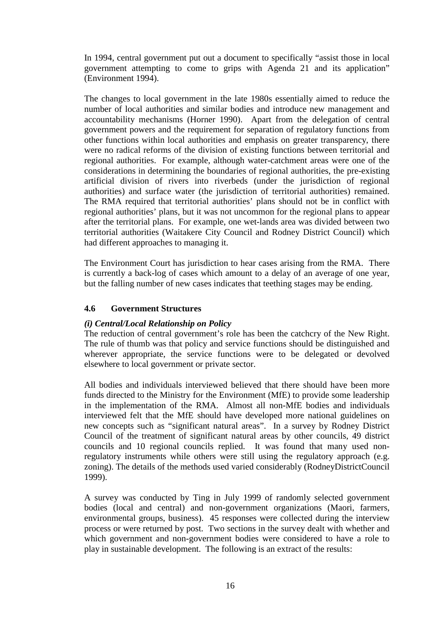In 1994, central government put out a document to specifically "assist those in local government attempting to come to grips with Agenda 21 and its application" (Environment 1994).

The changes to local government in the late 1980s essentially aimed to reduce the number of local authorities and similar bodies and introduce new management and accountability mechanisms (Horner 1990). Apart from the delegation of central government powers and the requirement for separation of regulatory functions from other functions within local authorities and emphasis on greater transparency, there were no radical reforms of the division of existing functions between territorial and regional authorities. For example, although water-catchment areas were one of the considerations in determining the boundaries of regional authorities, the pre-existing artificial division of rivers into riverbeds (under the jurisdiction of regional authorities) and surface water (the jurisdiction of territorial authorities) remained. The RMA required that territorial authorities' plans should not be in conflict with regional authorities' plans, but it was not uncommon for the regional plans to appear after the territorial plans. For example, one wet-lands area was divided between two territorial authorities (Waitakere City Council and Rodney District Council) which had different approaches to managing it.

The Environment Court has jurisdiction to hear cases arising from the RMA. There is currently a back-log of cases which amount to a delay of an average of one year, but the falling number of new cases indicates that teething stages may be ending.

### **4.6 Government Structures**

### *(i) Central/Local Relationship on Policy*

The reduction of central government's role has been the catchcry of the New Right. The rule of thumb was that policy and service functions should be distinguished and wherever appropriate, the service functions were to be delegated or devolved elsewhere to local government or private sector.

All bodies and individuals interviewed believed that there should have been more funds directed to the Ministry for the Environment (MfE) to provide some leadership in the implementation of the RMA. Almost all non-MfE bodies and individuals interviewed felt that the MfE should have developed more national guidelines on new concepts such as "significant natural areas". In a survey by Rodney District Council of the treatment of significant natural areas by other councils, 49 district councils and 10 regional councils replied. It was found that many used nonregulatory instruments while others were still using the regulatory approach (e.g. zoning). The details of the methods used varied considerably (RodneyDistrictCouncil 1999).

A survey was conducted by Ting in July 1999 of randomly selected government bodies (local and central) and non-government organizations (Maori, farmers, environmental groups, business). 45 responses were collected during the interview process or were returned by post. Two sections in the survey dealt with whether and which government and non-government bodies were considered to have a role to play in sustainable development. The following is an extract of the results: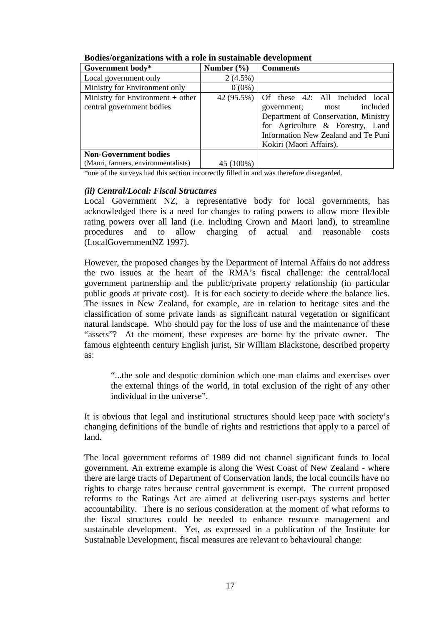| Government body*                                                | Number $(\% )$ | <b>Comments</b>                                                                                                                                                                                               |
|-----------------------------------------------------------------|----------------|---------------------------------------------------------------------------------------------------------------------------------------------------------------------------------------------------------------|
| Local government only                                           | $2(4.5\%)$     |                                                                                                                                                                                                               |
| Ministry for Environment only                                   | $0(0\%)$       |                                                                                                                                                                                                               |
| Ministry for Environment $+$ other<br>central government bodies | 42 (95.5%)     | Of these 42: All included local<br>included<br>government; most<br>Department of Conservation, Ministry<br>for Agriculture & Forestry, Land<br>Information New Zealand and Te Puni<br>Kokiri (Maori Affairs). |
| <b>Non-Government bodies</b>                                    |                |                                                                                                                                                                                                               |
| (Maori, farmers, environmentalists)                             | 45 (100%)      |                                                                                                                                                                                                               |

**Bodies/organizations with a role in sustainable development**

\*one of the surveys had this section incorrectly filled in and was therefore disregarded.

#### *(ii) Central/Local: Fiscal Structures*

Local Government NZ, a representative body for local governments, has acknowledged there is a need for changes to rating powers to allow more flexible rating powers over all land (i.e. including Crown and Maori land), to streamline procedures and to allow charging of actual and reasonable costs (LocalGovernmentNZ 1997).

However, the proposed changes by the Department of Internal Affairs do not address the two issues at the heart of the RMA's fiscal challenge: the central/local government partnership and the public/private property relationship (in particular public goods at private cost). It is for each society to decide where the balance lies. The issues in New Zealand, for example, are in relation to heritage sites and the classification of some private lands as significant natural vegetation or significant natural landscape. Who should pay for the loss of use and the maintenance of these "assets"? At the moment, these expenses are borne by the private owner. The famous eighteenth century English jurist, Sir William Blackstone, described property as:

"...the sole and despotic dominion which one man claims and exercises over the external things of the world, in total exclusion of the right of any other individual in the universe".

It is obvious that legal and institutional structures should keep pace with society's changing definitions of the bundle of rights and restrictions that apply to a parcel of land.

The local government reforms of 1989 did not channel significant funds to local government. An extreme example is along the West Coast of New Zealand - where there are large tracts of Department of Conservation lands, the local councils have no rights to charge rates because central government is exempt. The current proposed reforms to the Ratings Act are aimed at delivering user-pays systems and better accountability. There is no serious consideration at the moment of what reforms to the fiscal structures could be needed to enhance resource management and sustainable development. Yet, as expressed in a publication of the Institute for Sustainable Development, fiscal measures are relevant to behavioural change: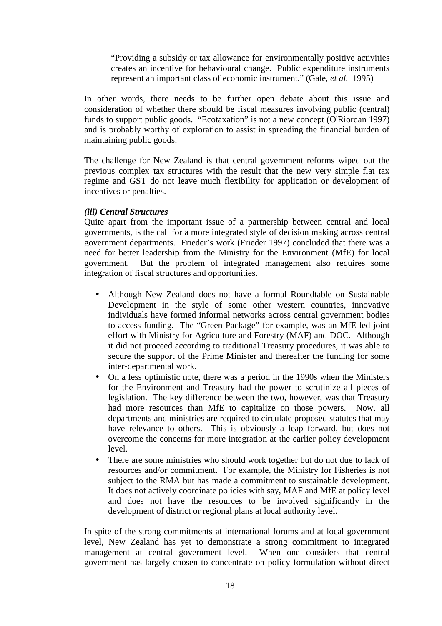"Providing a subsidy or tax allowance for environmentally positive activities creates an incentive for behavioural change. Public expenditure instruments represent an important class of economic instrument." (Gale*, et al.* 1995)

In other words, there needs to be further open debate about this issue and consideration of whether there should be fiscal measures involving public (central) funds to support public goods. "Ecotaxation" is not a new concept (O'Riordan 1997) and is probably worthy of exploration to assist in spreading the financial burden of maintaining public goods.

The challenge for New Zealand is that central government reforms wiped out the previous complex tax structures with the result that the new very simple flat tax regime and GST do not leave much flexibility for application or development of incentives or penalties.

### *(iii) Central Structures*

Quite apart from the important issue of a partnership between central and local governments, is the call for a more integrated style of decision making across central government departments. Frieder's work (Frieder 1997) concluded that there was a need for better leadership from the Ministry for the Environment (MfE) for local government. But the problem of integrated management also requires some integration of fiscal structures and opportunities.

- Although New Zealand does not have a formal Roundtable on Sustainable Development in the style of some other western countries, innovative individuals have formed informal networks across central government bodies to access funding. The "Green Package" for example, was an MfE-led joint effort with Ministry for Agriculture and Forestry (MAF) and DOC. Although it did not proceed according to traditional Treasury procedures, it was able to secure the support of the Prime Minister and thereafter the funding for some inter-departmental work.
- On a less optimistic note, there was a period in the 1990s when the Ministers for the Environment and Treasury had the power to scrutinize all pieces of legislation. The key difference between the two, however, was that Treasury had more resources than MfE to capitalize on those powers. Now, all departments and ministries are required to circulate proposed statutes that may have relevance to others. This is obviously a leap forward, but does not overcome the concerns for more integration at the earlier policy development level.
- There are some ministries who should work together but do not due to lack of resources and/or commitment. For example, the Ministry for Fisheries is not subject to the RMA but has made a commitment to sustainable development. It does not actively coordinate policies with say, MAF and MfE at policy level and does not have the resources to be involved significantly in the development of district or regional plans at local authority level.

In spite of the strong commitments at international forums and at local government level, New Zealand has yet to demonstrate a strong commitment to integrated management at central government level. When one considers that central government has largely chosen to concentrate on policy formulation without direct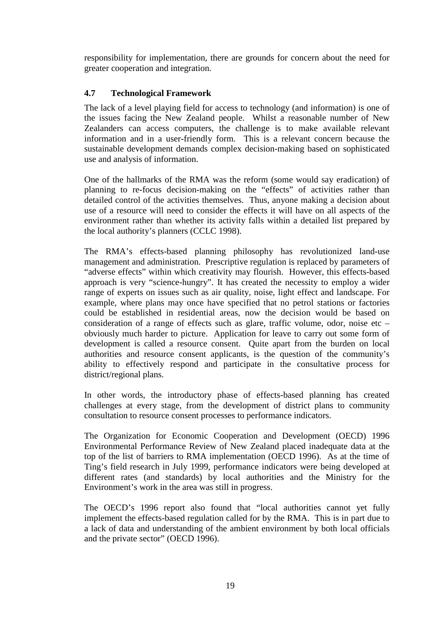responsibility for implementation, there are grounds for concern about the need for greater cooperation and integration.

# **4.7 Technological Framework**

The lack of a level playing field for access to technology (and information) is one of the issues facing the New Zealand people. Whilst a reasonable number of New Zealanders can access computers, the challenge is to make available relevant information and in a user-friendly form. This is a relevant concern because the sustainable development demands complex decision-making based on sophisticated use and analysis of information.

One of the hallmarks of the RMA was the reform (some would say eradication) of planning to re-focus decision-making on the "effects" of activities rather than detailed control of the activities themselves. Thus, anyone making a decision about use of a resource will need to consider the effects it will have on all aspects of the environment rather than whether its activity falls within a detailed list prepared by the local authority's planners (CCLC 1998).

The RMA's effects-based planning philosophy has revolutionized land-use management and administration. Prescriptive regulation is replaced by parameters of "adverse effects" within which creativity may flourish. However, this effects-based approach is very "science-hungry". It has created the necessity to employ a wider range of experts on issues such as air quality, noise, light effect and landscape. For example, where plans may once have specified that no petrol stations or factories could be established in residential areas, now the decision would be based on consideration of a range of effects such as glare, traffic volume, odor, noise etc – obviously much harder to picture. Application for leave to carry out some form of development is called a resource consent. Quite apart from the burden on local authorities and resource consent applicants, is the question of the community's ability to effectively respond and participate in the consultative process for district/regional plans.

In other words, the introductory phase of effects-based planning has created challenges at every stage, from the development of district plans to community consultation to resource consent processes to performance indicators.

The Organization for Economic Cooperation and Development (OECD) 1996 Environmental Performance Review of New Zealand placed inadequate data at the top of the list of barriers to RMA implementation (OECD 1996). As at the time of Ting's field research in July 1999, performance indicators were being developed at different rates (and standards) by local authorities and the Ministry for the Environment's work in the area was still in progress.

The OECD's 1996 report also found that "local authorities cannot yet fully implement the effects-based regulation called for by the RMA. This is in part due to a lack of data and understanding of the ambient environment by both local officials and the private sector" (OECD 1996).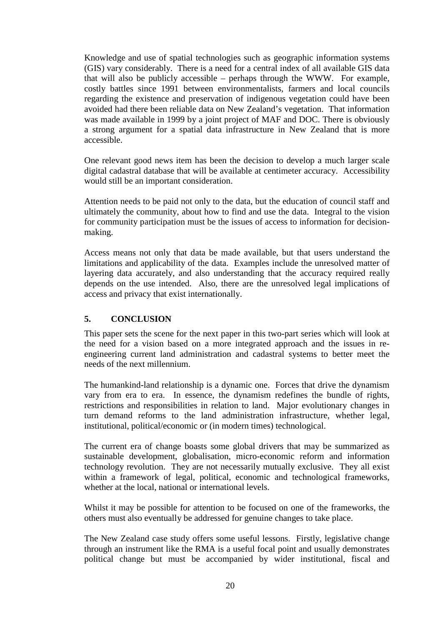Knowledge and use of spatial technologies such as geographic information systems (GIS) vary considerably. There is a need for a central index of all available GIS data that will also be publicly accessible – perhaps through the WWW. For example, costly battles since 1991 between environmentalists, farmers and local councils regarding the existence and preservation of indigenous vegetation could have been avoided had there been reliable data on New Zealand's vegetation. That information was made available in 1999 by a joint project of MAF and DOC. There is obviously a strong argument for a spatial data infrastructure in New Zealand that is more accessible.

One relevant good news item has been the decision to develop a much larger scale digital cadastral database that will be available at centimeter accuracy. Accessibility would still be an important consideration.

Attention needs to be paid not only to the data, but the education of council staff and ultimately the community, about how to find and use the data. Integral to the vision for community participation must be the issues of access to information for decisionmaking.

Access means not only that data be made available, but that users understand the limitations and applicability of the data. Examples include the unresolved matter of layering data accurately, and also understanding that the accuracy required really depends on the use intended. Also, there are the unresolved legal implications of access and privacy that exist internationally.

# **5. CONCLUSION**

This paper sets the scene for the next paper in this two-part series which will look at the need for a vision based on a more integrated approach and the issues in reengineering current land administration and cadastral systems to better meet the needs of the next millennium.

The humankind-land relationship is a dynamic one. Forces that drive the dynamism vary from era to era. In essence, the dynamism redefines the bundle of rights, restrictions and responsibilities in relation to land. Major evolutionary changes in turn demand reforms to the land administration infrastructure, whether legal, institutional, political/economic or (in modern times) technological.

The current era of change boasts some global drivers that may be summarized as sustainable development, globalisation, micro-economic reform and information technology revolution. They are not necessarily mutually exclusive. They all exist within a framework of legal, political, economic and technological frameworks, whether at the local, national or international levels.

Whilst it may be possible for attention to be focused on one of the frameworks, the others must also eventually be addressed for genuine changes to take place.

The New Zealand case study offers some useful lessons. Firstly, legislative change through an instrument like the RMA is a useful focal point and usually demonstrates political change but must be accompanied by wider institutional, fiscal and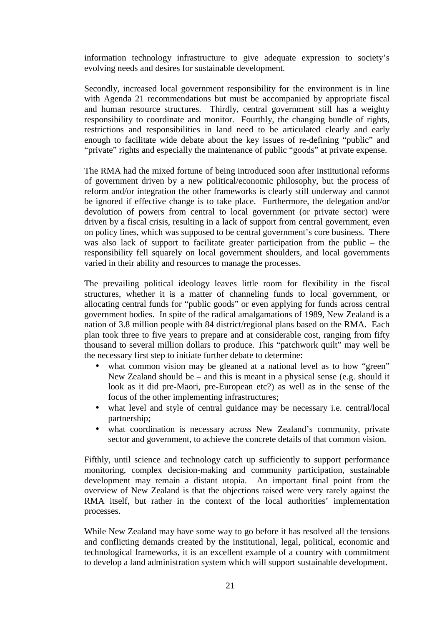information technology infrastructure to give adequate expression to society's evolving needs and desires for sustainable development.

Secondly, increased local government responsibility for the environment is in line with Agenda 21 recommendations but must be accompanied by appropriate fiscal and human resource structures. Thirdly, central government still has a weighty responsibility to coordinate and monitor. Fourthly, the changing bundle of rights, restrictions and responsibilities in land need to be articulated clearly and early enough to facilitate wide debate about the key issues of re-defining "public" and "private" rights and especially the maintenance of public "goods" at private expense.

The RMA had the mixed fortune of being introduced soon after institutional reforms of government driven by a new political/economic philosophy, but the process of reform and/or integration the other frameworks is clearly still underway and cannot be ignored if effective change is to take place. Furthermore, the delegation and/or devolution of powers from central to local government (or private sector) were driven by a fiscal crisis, resulting in a lack of support from central government, even on policy lines, which was supposed to be central government's core business. There was also lack of support to facilitate greater participation from the public – the responsibility fell squarely on local government shoulders, and local governments varied in their ability and resources to manage the processes.

The prevailing political ideology leaves little room for flexibility in the fiscal structures, whether it is a matter of channeling funds to local government, or allocating central funds for "public goods" or even applying for funds across central government bodies. In spite of the radical amalgamations of 1989, New Zealand is a nation of 3.8 million people with 84 district/regional plans based on the RMA. Each plan took three to five years to prepare and at considerable cost, ranging from fifty thousand to several million dollars to produce. This "patchwork quilt" may well be the necessary first step to initiate further debate to determine:

- what common vision may be gleaned at a national level as to how "green" New Zealand should be – and this is meant in a physical sense (e.g. should it look as it did pre-Maori, pre-European etc?) as well as in the sense of the focus of the other implementing infrastructures;
- what level and style of central guidance may be necessary i.e. central/local partnership;
- what coordination is necessary across New Zealand's community, private sector and government, to achieve the concrete details of that common vision.

Fifthly, until science and technology catch up sufficiently to support performance monitoring, complex decision-making and community participation, sustainable development may remain a distant utopia. An important final point from the overview of New Zealand is that the objections raised were very rarely against the RMA itself, but rather in the context of the local authorities' implementation processes.

While New Zealand may have some way to go before it has resolved all the tensions and conflicting demands created by the institutional, legal, political, economic and technological frameworks, it is an excellent example of a country with commitment to develop a land administration system which will support sustainable development.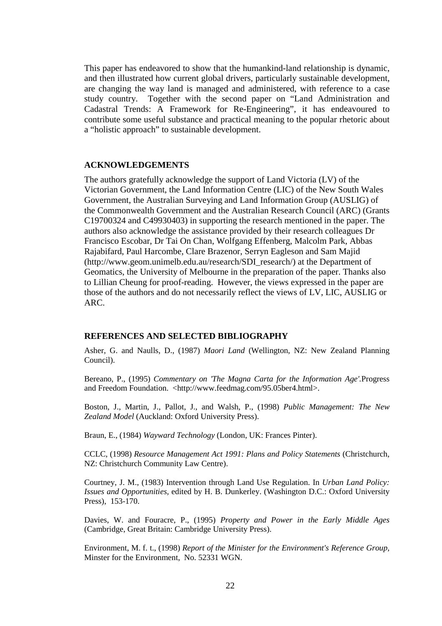This paper has endeavored to show that the humankind-land relationship is dynamic, and then illustrated how current global drivers, particularly sustainable development, are changing the way land is managed and administered, with reference to a case study country. Together with the second paper on "Land Administration and Cadastral Trends: A Framework for Re-Engineering", it has endeavoured to contribute some useful substance and practical meaning to the popular rhetoric about a "holistic approach" to sustainable development.

#### **ACKNOWLEDGEMENTS**

The authors gratefully acknowledge the support of Land Victoria (LV) of the Victorian Government, the Land Information Centre (LIC) of the New South Wales Government, the Australian Surveying and Land Information Group (AUSLIG) of the Commonwealth Government and the Australian Research Council (ARC) (Grants C19700324 and C49930403) in supporting the research mentioned in the paper. The authors also acknowledge the assistance provided by their research colleagues Dr Francisco Escobar, Dr Tai On Chan, Wolfgang Effenberg, Malcolm Park, Abbas Rajabifard, Paul Harcombe, Clare Brazenor, Serryn Eagleson and Sam Majid (http://www.geom.unimelb.edu.au/research/SDI\_research/) at the Department of Geomatics, the University of Melbourne in the preparation of the paper. Thanks also to Lillian Cheung for proof-reading. However, the views expressed in the paper are those of the authors and do not necessarily reflect the views of LV, LIC, AUSLIG or ARC.

#### **REFERENCES AND SELECTED BIBLIOGRAPHY**

Asher, G. and Naulls, D., (1987) *Maori Land* (Wellington, NZ: New Zealand Planning Council).

Bereano, P., (1995) *Commentary on 'The Magna Carta for the Information Age'.*Progress and Freedom Foundation. <http://www.feedmag.com/95.05ber4.html>.

Boston, J., Martin, J., Pallot, J., and Walsh, P., (1998) *Public Management: The New Zealand Model* (Auckland: Oxford University Press).

Braun, E., (1984) *Wayward Technology* (London, UK: Frances Pinter).

CCLC, (1998) *Resource Management Act 1991: Plans and Policy Statements* (Christchurch, NZ: Christchurch Community Law Centre).

Courtney, J. M., (1983) Intervention through Land Use Regulation. In *Urban Land Policy: Issues and Opportunities,* edited by H. B. Dunkerley. (Washington D.C.: Oxford University Press), 153-170.

Davies, W. and Fouracre, P., (1995) *Property and Power in the Early Middle Ages* (Cambridge, Great Britain: Cambridge University Press).

Environment, M. f. t., (1998) *Report of the Minister for the Environment's Reference Group,* Minster for the Environment, No. 52331 WGN.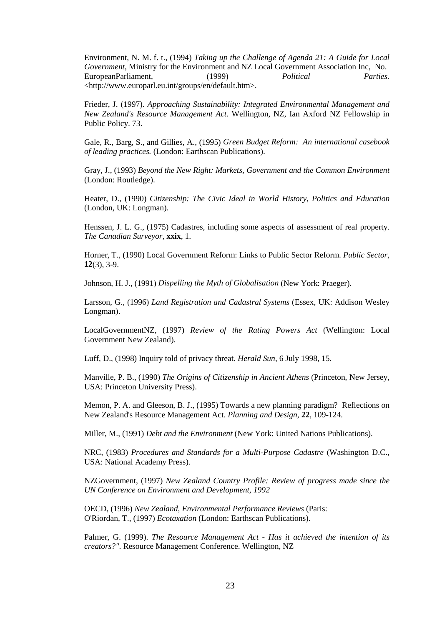Environment, N. M. f. t., (1994) *Taking up the Challenge of Agenda 21: A Guide for Local Government,* Ministry for the Environment and NZ Local Government Association Inc, No. EuropeanParliament, (1999) *Political Parties.* <http://www.europarl.eu.int/groups/en/default.htm>.

Frieder, J. (1997). *Approaching Sustainability: Integrated Environmental Management and New Zealand's Resource Management Act*. Wellington, NZ, Ian Axford NZ Fellowship in Public Policy. 73.

Gale, R., Barg, S., and Gillies, A., (1995) *Green Budget Reform: An international casebook of leading practices.* (London: Earthscan Publications).

Gray, J., (1993) *Beyond the New Right: Markets, Government and the Common Environment* (London: Routledge).

Heater, D., (1990) *Citizenship: The Civic Ideal in World History, Politics and Education* (London, UK: Longman).

Henssen, J. L. G., (1975) Cadastres, including some aspects of assessment of real property. *The Canadian Surveyor,* **xxix**, 1.

Horner, T., (1990) Local Government Reform: Links to Public Sector Reform. *Public Sector,* **12**(3), 3-9.

Johnson, H. J., (1991) *Dispelling the Myth of Globalisation* (New York: Praeger).

Larsson, G., (1996) *Land Registration and Cadastral Systems* (Essex, UK: Addison Wesley Longman).

LocalGovernmentNZ, (1997) *Review of the Rating Powers Act* (Wellington: Local Government New Zealand).

Luff, D., (1998) Inquiry told of privacy threat. *Herald Sun*, 6 July 1998, 15.

Manville, P. B., (1990) *The Origins of Citizenship in Ancient Athens* (Princeton, New Jersey, USA: Princeton University Press).

Memon, P. A. and Gleeson, B. J., (1995) Towards a new planning paradigm? Reflections on New Zealand's Resource Management Act. *Planning and Design,* **22**, 109-124.

Miller, M., (1991) *Debt and the Environment* (New York: United Nations Publications).

NRC, (1983) *Procedures and Standards for a Multi-Purpose Cadastre* (Washington D.C., USA: National Academy Press).

NZGovernment, (1997) *New Zealand Country Profile: Review of progress made since the UN Conference on Environment and Development, 1992*

OECD, (1996) *New Zealand, Environmental Performance Reviews* (Paris: O'Riordan, T., (1997) *Ecotaxation* (London: Earthscan Publications).

Palmer, G. (1999). *The Resource Management Act - Has it achieved the intention of its creators?"*. Resource Management Conference. Wellington, NZ